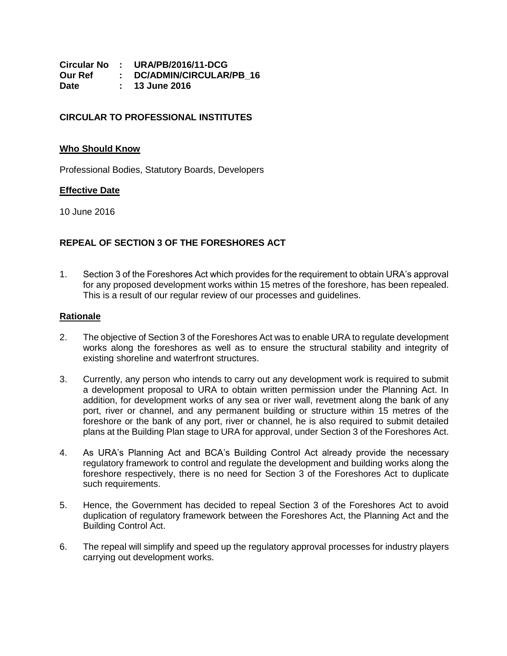**Circular No : URA/PB/2016/11-DCG Our Ref : DC/ADMIN/CIRCULAR/PB\_16 Date : 13 June 2016**

# **CIRCULAR TO PROFESSIONAL INSTITUTES**

#### **Who Should Know**

Professional Bodies, Statutory Boards, Developers

### **Effective Date**

10 June 2016

## **REPEAL OF SECTION 3 OF THE FORESHORES ACT**

1. Section 3 of the Foreshores Act which provides for the requirement to obtain URA's approval for any proposed development works within 15 metres of the foreshore, has been repealed. This is a result of our regular review of our processes and guidelines.

#### **Rationale**

- 2. The objective of Section 3 of the Foreshores Act was to enable URA to regulate development works along the foreshores as well as to ensure the structural stability and integrity of existing shoreline and waterfront structures.
- 3. Currently, any person who intends to carry out any development work is required to submit a development proposal to URA to obtain written permission under the Planning Act. In addition, for development works of any sea or river wall, revetment along the bank of any port, river or channel, and any permanent building or structure within 15 metres of the foreshore or the bank of any port, river or channel, he is also required to submit detailed plans at the Building Plan stage to URA for approval, under Section 3 of the Foreshores Act.
- 4. As URA's Planning Act and BCA's Building Control Act already provide the necessary regulatory framework to control and regulate the development and building works along the foreshore respectively, there is no need for Section 3 of the Foreshores Act to duplicate such requirements.
- 5. Hence, the Government has decided to repeal Section 3 of the Foreshores Act to avoid duplication of regulatory framework between the Foreshores Act, the Planning Act and the Building Control Act.
- 6. The repeal will simplify and speed up the regulatory approval processes for industry players carrying out development works.